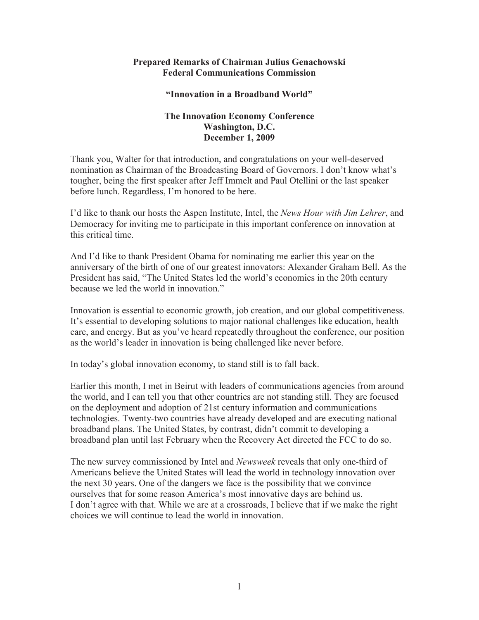## **Prepared Remarks of Chairman Julius Genachowski Federal Communications Commission**

## **"Innovation in a Broadband World"**

## **The Innovation Economy Conference Washington, D.C. December 1, 2009**

Thank you, Walter for that introduction, and congratulations on your well-deserved nomination as Chairman of the Broadcasting Board of Governors. I don't know what's tougher, being the first speaker after Jeff Immelt and Paul Otellini or the last speaker before lunch. Regardless, I'm honored to be here.

I'd like to thank our hosts the Aspen Institute, Intel, the *News Hour with Jim Lehrer*, and Democracy for inviting me to participate in this important conference on innovation at this critical time.

And I'd like to thank President Obama for nominating me earlier this year on the anniversary of the birth of one of our greatest innovators: Alexander Graham Bell. As the President has said, "The United States led the world's economies in the 20th century because we led the world in innovation."

Innovation is essential to economic growth, job creation, and our global competitiveness. It's essential to developing solutions to major national challenges like education, health care, and energy. But as you've heard repeatedly throughout the conference, our position as the world's leader in innovation is being challenged like never before.

In today's global innovation economy, to stand still is to fall back.

Earlier this month, I met in Beirut with leaders of communications agencies from around the world, and I can tell you that other countries are not standing still. They are focused on the deployment and adoption of 21st century information and communications technologies. Twenty-two countries have already developed and are executing national broadband plans. The United States, by contrast, didn't commit to developing a broadband plan until last February when the Recovery Act directed the FCC to do so.

The new survey commissioned by Intel and *Newsweek* reveals that only one-third of Americans believe the United States will lead the world in technology innovation over the next 30 years. One of the dangers we face is the possibility that we convince ourselves that for some reason America's most innovative days are behind us. I don't agree with that. While we are at a crossroads, I believe that if we make the right choices we will continue to lead the world in innovation.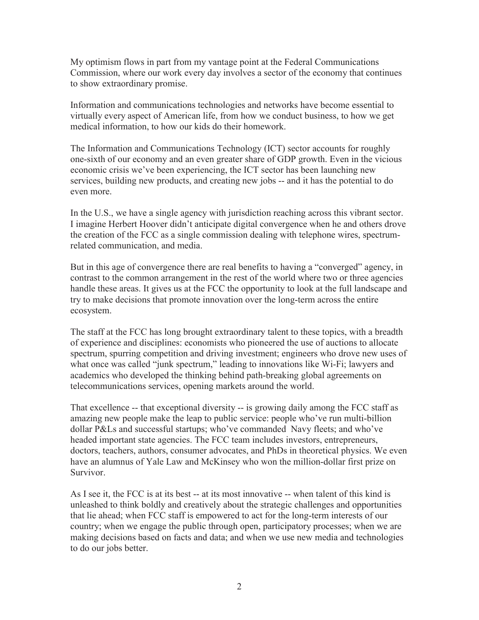My optimism flows in part from my vantage point at the Federal Communications Commission, where our work every day involves a sector of the economy that continues to show extraordinary promise.

Information and communications technologies and networks have become essential to virtually every aspect of American life, from how we conduct business, to how we get medical information, to how our kids do their homework.

The Information and Communications Technology (ICT) sector accounts for roughly one-sixth of our economy and an even greater share of GDP growth. Even in the vicious economic crisis we've been experiencing, the ICT sector has been launching new services, building new products, and creating new jobs -- and it has the potential to do even more.

In the U.S., we have a single agency with jurisdiction reaching across this vibrant sector. I imagine Herbert Hoover didn't anticipate digital convergence when he and others drove the creation of the FCC as a single commission dealing with telephone wires, spectrumrelated communication, and media.

But in this age of convergence there are real benefits to having a "converged" agency, in contrast to the common arrangement in the rest of the world where two or three agencies handle these areas. It gives us at the FCC the opportunity to look at the full landscape and try to make decisions that promote innovation over the long-term across the entire ecosystem.

The staff at the FCC has long brought extraordinary talent to these topics, with a breadth of experience and disciplines: economists who pioneered the use of auctions to allocate spectrum, spurring competition and driving investment; engineers who drove new uses of what once was called "junk spectrum," leading to innovations like Wi-Fi; lawyers and academics who developed the thinking behind path-breaking global agreements on telecommunications services, opening markets around the world.

That excellence -- that exceptional diversity -- is growing daily among the FCC staff as amazing new people make the leap to public service: people who've run multi-billion dollar P&Ls and successful startups; who've commanded Navy fleets; and who've headed important state agencies. The FCC team includes investors, entrepreneurs, doctors, teachers, authors, consumer advocates, and PhDs in theoretical physics. We even have an alumnus of Yale Law and McKinsey who won the million-dollar first prize on Survivor.

As I see it, the FCC is at its best -- at its most innovative -- when talent of this kind is unleashed to think boldly and creatively about the strategic challenges and opportunities that lie ahead; when FCC staff is empowered to act for the long-term interests of our country; when we engage the public through open, participatory processes; when we are making decisions based on facts and data; and when we use new media and technologies to do our jobs better.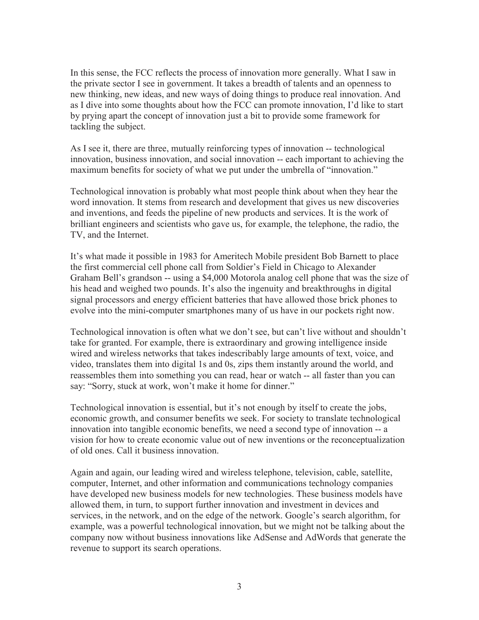In this sense, the FCC reflects the process of innovation more generally. What I saw in the private sector I see in government. It takes a breadth of talents and an openness to new thinking, new ideas, and new ways of doing things to produce real innovation. And as I dive into some thoughts about how the FCC can promote innovation, I'd like to start by prying apart the concept of innovation just a bit to provide some framework for tackling the subject.

As I see it, there are three, mutually reinforcing types of innovation -- technological innovation, business innovation, and social innovation -- each important to achieving the maximum benefits for society of what we put under the umbrella of "innovation."

Technological innovation is probably what most people think about when they hear the word innovation. It stems from research and development that gives us new discoveries and inventions, and feeds the pipeline of new products and services. It is the work of brilliant engineers and scientists who gave us, for example, the telephone, the radio, the TV, and the Internet.

It's what made it possible in 1983 for Ameritech Mobile president Bob Barnett to place the first commercial cell phone call from Soldier's Field in Chicago to Alexander Graham Bell's grandson -- using a \$4,000 Motorola analog cell phone that was the size of his head and weighed two pounds. It's also the ingenuity and breakthroughs in digital signal processors and energy efficient batteries that have allowed those brick phones to evolve into the mini-computer smartphones many of us have in our pockets right now.

Technological innovation is often what we don't see, but can't live without and shouldn't take for granted. For example, there is extraordinary and growing intelligence inside wired and wireless networks that takes indescribably large amounts of text, voice, and video, translates them into digital 1s and 0s, zips them instantly around the world, and reassembles them into something you can read, hear or watch -- all faster than you can say: "Sorry, stuck at work, won't make it home for dinner."

Technological innovation is essential, but it's not enough by itself to create the jobs, economic growth, and consumer benefits we seek. For society to translate technological innovation into tangible economic benefits, we need a second type of innovation -- a vision for how to create economic value out of new inventions or the reconceptualization of old ones. Call it business innovation.

Again and again, our leading wired and wireless telephone, television, cable, satellite, computer, Internet, and other information and communications technology companies have developed new business models for new technologies. These business models have allowed them, in turn, to support further innovation and investment in devices and services, in the network, and on the edge of the network. Google's search algorithm, for example, was a powerful technological innovation, but we might not be talking about the company now without business innovations like AdSense and AdWords that generate the revenue to support its search operations.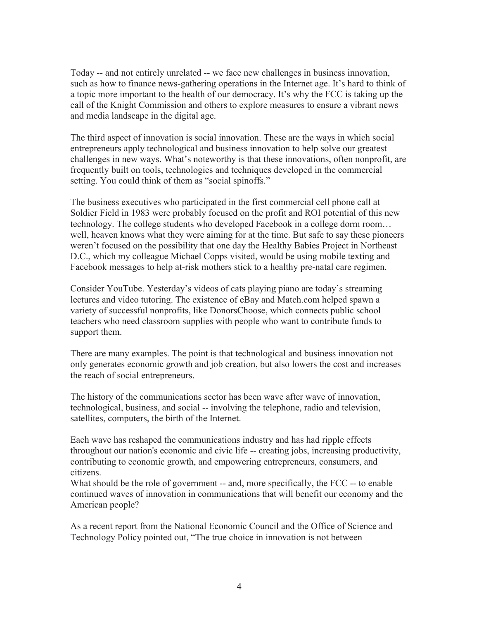Today -- and not entirely unrelated -- we face new challenges in business innovation, such as how to finance news-gathering operations in the Internet age. It's hard to think of a topic more important to the health of our democracy. It's why the FCC is taking up the call of the Knight Commission and others to explore measures to ensure a vibrant news and media landscape in the digital age.

The third aspect of innovation is social innovation. These are the ways in which social entrepreneurs apply technological and business innovation to help solve our greatest challenges in new ways. What's noteworthy is that these innovations, often nonprofit, are frequently built on tools, technologies and techniques developed in the commercial setting. You could think of them as "social spinoffs."

The business executives who participated in the first commercial cell phone call at Soldier Field in 1983 were probably focused on the profit and ROI potential of this new technology. The college students who developed Facebook in a college dorm room… well, heaven knows what they were aiming for at the time. But safe to say these pioneers weren't focused on the possibility that one day the Healthy Babies Project in Northeast D.C., which my colleague Michael Copps visited, would be using mobile texting and Facebook messages to help at-risk mothers stick to a healthy pre-natal care regimen.

Consider YouTube. Yesterday's videos of cats playing piano are today's streaming lectures and video tutoring. The existence of eBay and Match.com helped spawn a variety of successful nonprofits, like DonorsChoose, which connects public school teachers who need classroom supplies with people who want to contribute funds to support them.

There are many examples. The point is that technological and business innovation not only generates economic growth and job creation, but also lowers the cost and increases the reach of social entrepreneurs.

The history of the communications sector has been wave after wave of innovation, technological, business, and social -- involving the telephone, radio and television, satellites, computers, the birth of the Internet.

Each wave has reshaped the communications industry and has had ripple effects throughout our nation's economic and civic life -- creating jobs, increasing productivity, contributing to economic growth, and empowering entrepreneurs, consumers, and citizens.

What should be the role of government -- and, more specifically, the FCC -- to enable continued waves of innovation in communications that will benefit our economy and the American people?

As a recent report from the National Economic Council and the Office of Science and Technology Policy pointed out, "The true choice in innovation is not between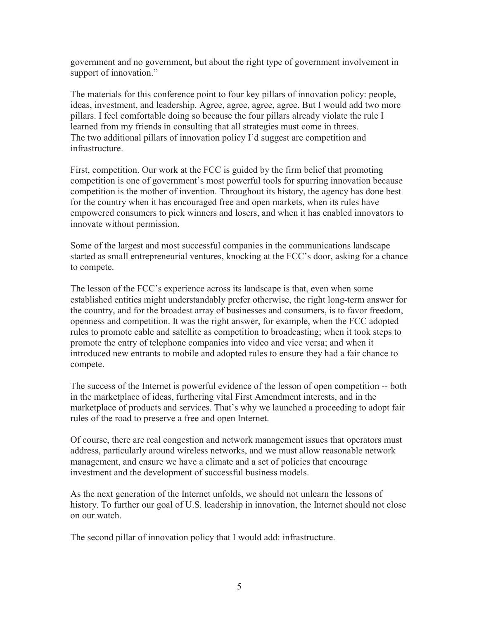government and no government, but about the right type of government involvement in support of innovation."

The materials for this conference point to four key pillars of innovation policy: people, ideas, investment, and leadership. Agree, agree, agree, agree. But I would add two more pillars. I feel comfortable doing so because the four pillars already violate the rule I learned from my friends in consulting that all strategies must come in threes. The two additional pillars of innovation policy I'd suggest are competition and infrastructure.

First, competition. Our work at the FCC is guided by the firm belief that promoting competition is one of government's most powerful tools for spurring innovation because competition is the mother of invention. Throughout its history, the agency has done best for the country when it has encouraged free and open markets, when its rules have empowered consumers to pick winners and losers, and when it has enabled innovators to innovate without permission.

Some of the largest and most successful companies in the communications landscape started as small entrepreneurial ventures, knocking at the FCC's door, asking for a chance to compete.

The lesson of the FCC's experience across its landscape is that, even when some established entities might understandably prefer otherwise, the right long-term answer for the country, and for the broadest array of businesses and consumers, is to favor freedom, openness and competition. It was the right answer, for example, when the FCC adopted rules to promote cable and satellite as competition to broadcasting; when it took steps to promote the entry of telephone companies into video and vice versa; and when it introduced new entrants to mobile and adopted rules to ensure they had a fair chance to compete.

The success of the Internet is powerful evidence of the lesson of open competition -- both in the marketplace of ideas, furthering vital First Amendment interests, and in the marketplace of products and services. That's why we launched a proceeding to adopt fair rules of the road to preserve a free and open Internet.

Of course, there are real congestion and network management issues that operators must address, particularly around wireless networks, and we must allow reasonable network management, and ensure we have a climate and a set of policies that encourage investment and the development of successful business models.

As the next generation of the Internet unfolds, we should not unlearn the lessons of history. To further our goal of U.S. leadership in innovation, the Internet should not close on our watch.

The second pillar of innovation policy that I would add: infrastructure.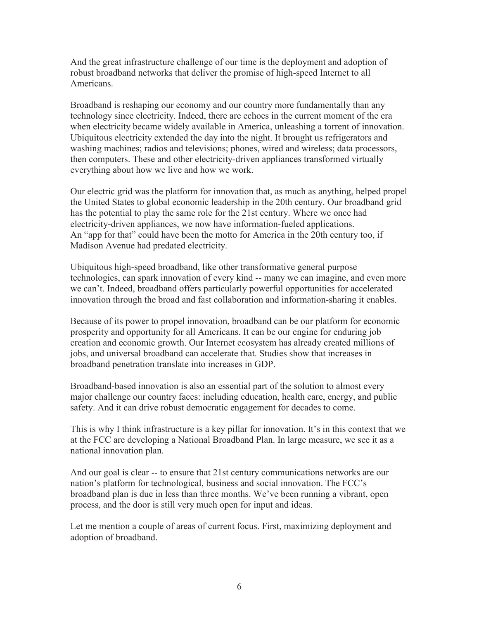And the great infrastructure challenge of our time is the deployment and adoption of robust broadband networks that deliver the promise of high-speed Internet to all Americans.

Broadband is reshaping our economy and our country more fundamentally than any technology since electricity. Indeed, there are echoes in the current moment of the era when electricity became widely available in America, unleashing a torrent of innovation. Ubiquitous electricity extended the day into the night. It brought us refrigerators and washing machines; radios and televisions; phones, wired and wireless; data processors, then computers. These and other electricity-driven appliances transformed virtually everything about how we live and how we work.

Our electric grid was the platform for innovation that, as much as anything, helped propel the United States to global economic leadership in the 20th century. Our broadband grid has the potential to play the same role for the 21st century. Where we once had electricity-driven appliances, we now have information-fueled applications. An "app for that" could have been the motto for America in the 20th century too, if Madison Avenue had predated electricity.

Ubiquitous high-speed broadband, like other transformative general purpose technologies, can spark innovation of every kind -- many we can imagine, and even more we can't. Indeed, broadband offers particularly powerful opportunities for accelerated innovation through the broad and fast collaboration and information-sharing it enables.

Because of its power to propel innovation, broadband can be our platform for economic prosperity and opportunity for all Americans. It can be our engine for enduring job creation and economic growth. Our Internet ecosystem has already created millions of jobs, and universal broadband can accelerate that. Studies show that increases in broadband penetration translate into increases in GDP.

Broadband-based innovation is also an essential part of the solution to almost every major challenge our country faces: including education, health care, energy, and public safety. And it can drive robust democratic engagement for decades to come.

This is why I think infrastructure is a key pillar for innovation. It's in this context that we at the FCC are developing a National Broadband Plan. In large measure, we see it as a national innovation plan.

And our goal is clear -- to ensure that 21st century communications networks are our nation's platform for technological, business and social innovation. The FCC's broadband plan is due in less than three months. We've been running a vibrant, open process, and the door is still very much open for input and ideas.

Let me mention a couple of areas of current focus. First, maximizing deployment and adoption of broadband.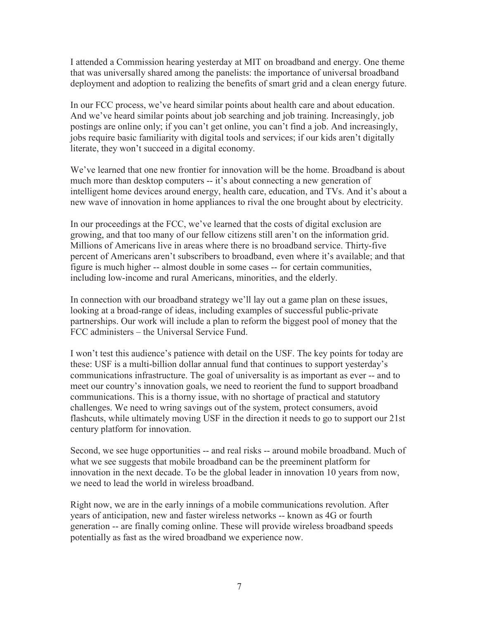I attended a Commission hearing yesterday at MIT on broadband and energy. One theme that was universally shared among the panelists: the importance of universal broadband deployment and adoption to realizing the benefits of smart grid and a clean energy future.

In our FCC process, we've heard similar points about health care and about education. And we've heard similar points about job searching and job training. Increasingly, job postings are online only; if you can't get online, you can't find a job. And increasingly, jobs require basic familiarity with digital tools and services; if our kids aren't digitally literate, they won't succeed in a digital economy.

We've learned that one new frontier for innovation will be the home. Broadband is about much more than desktop computers -- it's about connecting a new generation of intelligent home devices around energy, health care, education, and TVs. And it's about a new wave of innovation in home appliances to rival the one brought about by electricity.

In our proceedings at the FCC, we've learned that the costs of digital exclusion are growing, and that too many of our fellow citizens still aren't on the information grid. Millions of Americans live in areas where there is no broadband service. Thirty-five percent of Americans aren't subscribers to broadband, even where it's available; and that figure is much higher -- almost double in some cases -- for certain communities, including low-income and rural Americans, minorities, and the elderly.

In connection with our broadband strategy we'll lay out a game plan on these issues, looking at a broad-range of ideas, including examples of successful public-private partnerships. Our work will include a plan to reform the biggest pool of money that the FCC administers – the Universal Service Fund.

I won't test this audience's patience with detail on the USF. The key points for today are these: USF is a multi-billion dollar annual fund that continues to support yesterday's communications infrastructure. The goal of universality is as important as ever -- and to meet our country's innovation goals, we need to reorient the fund to support broadband communications. This is a thorny issue, with no shortage of practical and statutory challenges. We need to wring savings out of the system, protect consumers, avoid flashcuts, while ultimately moving USF in the direction it needs to go to support our 21st century platform for innovation.

Second, we see huge opportunities -- and real risks -- around mobile broadband. Much of what we see suggests that mobile broadband can be the preeminent platform for innovation in the next decade. To be the global leader in innovation 10 years from now, we need to lead the world in wireless broadband.

Right now, we are in the early innings of a mobile communications revolution. After years of anticipation, new and faster wireless networks -- known as 4G or fourth generation -- are finally coming online. These will provide wireless broadband speeds potentially as fast as the wired broadband we experience now.